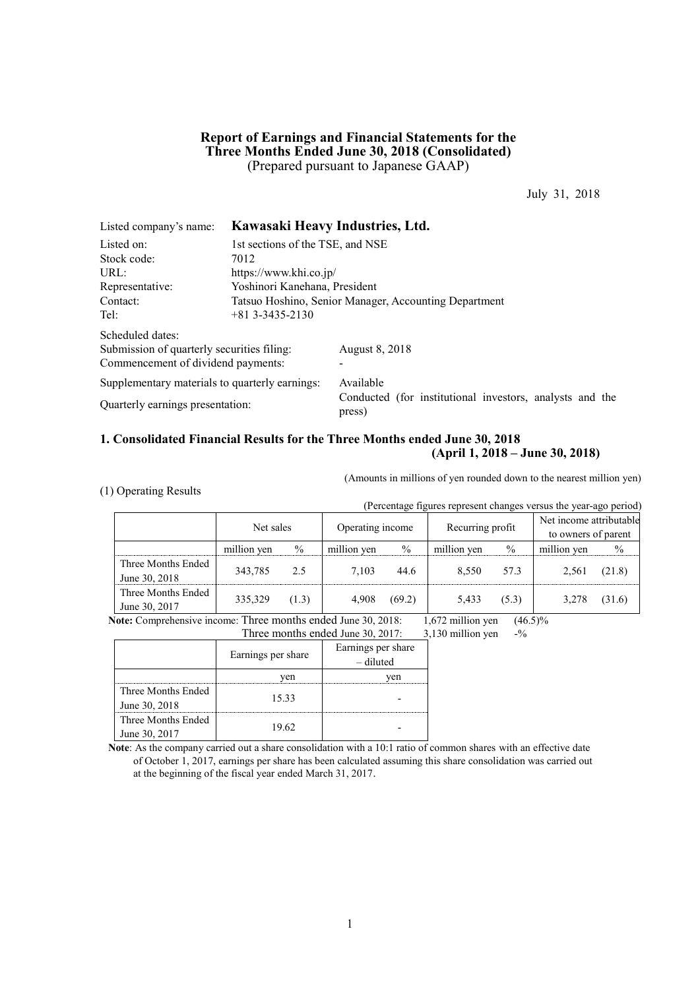## **Report of Earnings and Financial Statements for the Three Months Ended June 30, 2018 (Consolidated)** (Prepared pursuant to Japanese GAAP)

July 31, 2018

| Listed company's name:                         | Kawasaki Heavy Industries, Ltd.                       |                                                                    |  |  |  |  |
|------------------------------------------------|-------------------------------------------------------|--------------------------------------------------------------------|--|--|--|--|
| Listed on:                                     | 1st sections of the TSE, and NSE                      |                                                                    |  |  |  |  |
| Stock code:                                    | 7012                                                  |                                                                    |  |  |  |  |
| URL:                                           | https://www.khi.co.jp/                                |                                                                    |  |  |  |  |
| Representative:                                |                                                       | Yoshinori Kanehana, President                                      |  |  |  |  |
| Contact:                                       | Tatsuo Hoshino, Senior Manager, Accounting Department |                                                                    |  |  |  |  |
| Tel:                                           | $+813--3435-2130$                                     |                                                                    |  |  |  |  |
| Scheduled dates:                               |                                                       |                                                                    |  |  |  |  |
| Submission of quarterly securities filing:     |                                                       | <b>August 8, 2018</b>                                              |  |  |  |  |
| Commencement of dividend payments:             |                                                       |                                                                    |  |  |  |  |
| Supplementary materials to quarterly earnings: |                                                       | Available                                                          |  |  |  |  |
| Quarterly earnings presentation:               |                                                       | Conducted (for institutional investors, analysts and the<br>press) |  |  |  |  |

## **1. Consolidated Financial Results for the Three Months ended June 30, 2018 (April 1, 2018 – June 30, 2018)**

(1) Operating Results

(Amounts in millions of yen rounded down to the nearest million yen)

| (Percentage figures represent changes versus the year-ago period) |             |       |                  |               |                  |       |                                                |               |
|-------------------------------------------------------------------|-------------|-------|------------------|---------------|------------------|-------|------------------------------------------------|---------------|
|                                                                   | Net sales   |       | Operating income |               | Recurring profit |       | Net income attributable<br>to owners of parent |               |
|                                                                   | million yen | $\%$  | million yen      | $\frac{0}{0}$ | million yen      | $\%$  | million yen                                    | $\frac{0}{0}$ |
| Three Months Ended<br>June 30, 2018                               | 343,785     | 2.5   | 7.103            | 44.6          | 8.550            | 57.3  | 2.561                                          | (21.8)        |
| Three Months Ended<br>June 30, 2017                               | 335,329     | (1.3) | 4,908            | (69.2)        | 5,433            | (5.3) | 3,278                                          | (31.6)        |

**Note:** Comprehensive income: Three months ended June 30, 2018: 1,672 million yen (46.5)% Three months ended June 30, 2017:  $3,130$  million yen  $-$ %

|                    | Earnings per share | Earnings per share<br>- diluted |  |  |  |
|--------------------|--------------------|---------------------------------|--|--|--|
|                    | ven                | ven                             |  |  |  |
| Three Months Ended | 1533               |                                 |  |  |  |
| June 30, 2018      |                    |                                 |  |  |  |
| Three Months Ended | 19.62              |                                 |  |  |  |
| June 30, 2017      |                    |                                 |  |  |  |

**Note**: As the company carried out a share consolidation with a 10:1 ratio of common shares with an effective date of October 1, 2017, earnings per share has been calculated assuming this share consolidation was carried out at the beginning of the fiscal year ended March 31, 2017.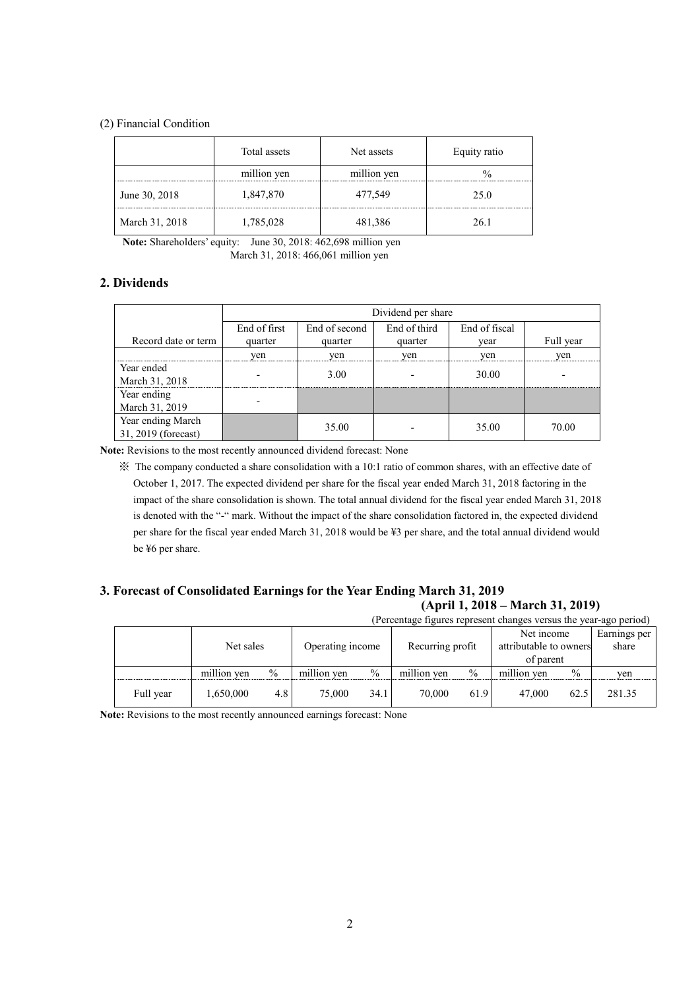## (2) Financial Condition

|                | Total assets | Net assets  | Equity ratio |
|----------------|--------------|-------------|--------------|
|                | million yen  | million yen |              |
| June 30, 2018  | 1,847,870    | 477,549     | 25.0         |
| March 31, 2018 | 1,785,028    | 481,386     | 26 1         |

**Note:** Shareholders' equity: June 30, 2018: 462,698 million yen March 31, 2018: 466,061 million yen

## **2. Dividends**

|                                          | Dividend per share |               |              |               |           |  |  |
|------------------------------------------|--------------------|---------------|--------------|---------------|-----------|--|--|
|                                          | End of first       | End of second | End of third | End of fiscal |           |  |  |
| Record date or term                      | quarter            | quarter       | quarter      | vear          | Full year |  |  |
|                                          | ven                | ven           | yen          | yen           | ven       |  |  |
| Year ended<br>March 31, 2018             |                    | 3.00          |              | 30.00         |           |  |  |
| Year ending<br>March 31, 2019            |                    |               |              |               |           |  |  |
| Year ending March<br>31, 2019 (forecast) |                    | 35.00         |              | 35.00         | 70.00     |  |  |

**Note:** Revisions to the most recently announced dividend forecast: None

※ The company conducted a share consolidation with a 10:1 ratio of common shares, with an effective date of October 1, 2017. The expected dividend per share for the fiscal year ended March 31, 2018 factoring in the impact of the share consolidation is shown. The total annual dividend for the fiscal year ended March 31, 2018 is denoted with the "-" mark. Without the impact of the share consolidation factored in, the expected dividend per share for the fiscal year ended March 31, 2018 would be ¥3 per share, and the total annual dividend would be ¥6 per share.

## **3. Forecast of Consolidated Earnings for the Year Ending March 31, 2019 (April 1, 2018 – March 31, 2019)**

| (Percentage figures represent changes versus the year-ago period) |             |               |                  |               |                  |               |                                                   |      |                       |
|-------------------------------------------------------------------|-------------|---------------|------------------|---------------|------------------|---------------|---------------------------------------------------|------|-----------------------|
|                                                                   | Net sales   |               | Operating income |               | Recurring profit |               | Net income<br>attributable to owners<br>of parent |      | Earnings per<br>share |
|                                                                   |             |               |                  |               |                  |               |                                                   |      |                       |
|                                                                   | million ven | $\frac{0}{0}$ | million yen      | $\frac{0}{0}$ | million yen      | $\frac{0}{0}$ | million yen                                       | $\%$ | ven                   |
| Full year                                                         | 1,650,000   | 4.8           | 75.000           | 34.1          | 70.000           | 61.9          | 47.000                                            | 62.5 | 281.35                |

**Note:** Revisions to the most recently announced earnings forecast: None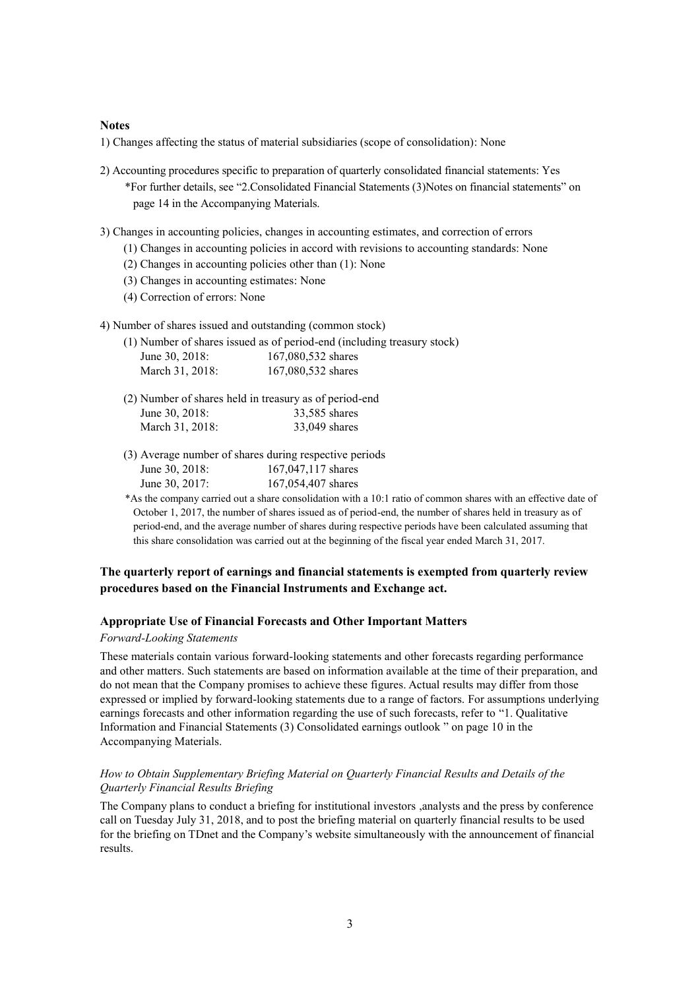## **Notes**

1) Changes affecting the status of material subsidiaries (scope of consolidation): None

- 2) Accounting procedures specific to preparation of quarterly consolidated financial statements: Yes \*For further details, see "2.Consolidated Financial Statements (3)Notes on financial statements" on page 14 in the Accompanying Materials.
- 3) Changes in accounting policies, changes in accounting estimates, and correction of errors
	- (1) Changes in accounting policies in accord with revisions to accounting standards: None
	- (2) Changes in accounting policies other than (1): None
	- (3) Changes in accounting estimates: None
	- (4) Correction of errors: None
- 4) Number of shares issued and outstanding (common stock)
	- (1) Number of shares issued as of period-end (including treasury stock) June 30, 2018: 167,080,532 shares March 31, 2018: 167,080,532 shares
	- (2) Number of shares held in treasury as of period-end June 30, 2018: 33,585 shares March 31, 2018: 33,049 shares
	- (3) Average number of shares during respective periods June 30, 2018: 167,047,117 shares June 30, 2017: 167,054,407 shares
	- \*As the company carried out a share consolidation with a 10:1 ratio of common shares with an effective date of October 1, 2017, the number of shares issued as of period-end, the number of shares held in treasury as of period-end, and the average number of shares during respective periods have been calculated assuming that this share consolidation was carried out at the beginning of the fiscal year ended March 31, 2017.

## **The quarterly report of earnings and financial statements is exempted from quarterly review procedures based on the Financial Instruments and Exchange act.**

## **Appropriate Use of Financial Forecasts and Other Important Matters**

## *Forward-Looking Statements*

These materials contain various forward-looking statements and other forecasts regarding performance and other matters. Such statements are based on information available at the time of their preparation, and do not mean that the Company promises to achieve these figures. Actual results may differ from those expressed or implied by forward-looking statements due to a range of factors. For assumptions underlying earnings forecasts and other information regarding the use of such forecasts, refer to "1. Qualitative Information and Financial Statements (3) Consolidated earnings outlook " on page 10 in the Accompanying Materials.

## *How to Obtain Supplementary Briefing Material on Quarterly Financial Results and Details of the Quarterly Financial Results Briefing*

The Company plans to conduct a briefing for institutional investors ,analysts and the press by conference call on Tuesday July 31, 2018, and to post the briefing material on quarterly financial results to be used for the briefing on TDnet and the Company's website simultaneously with the announcement of financial results.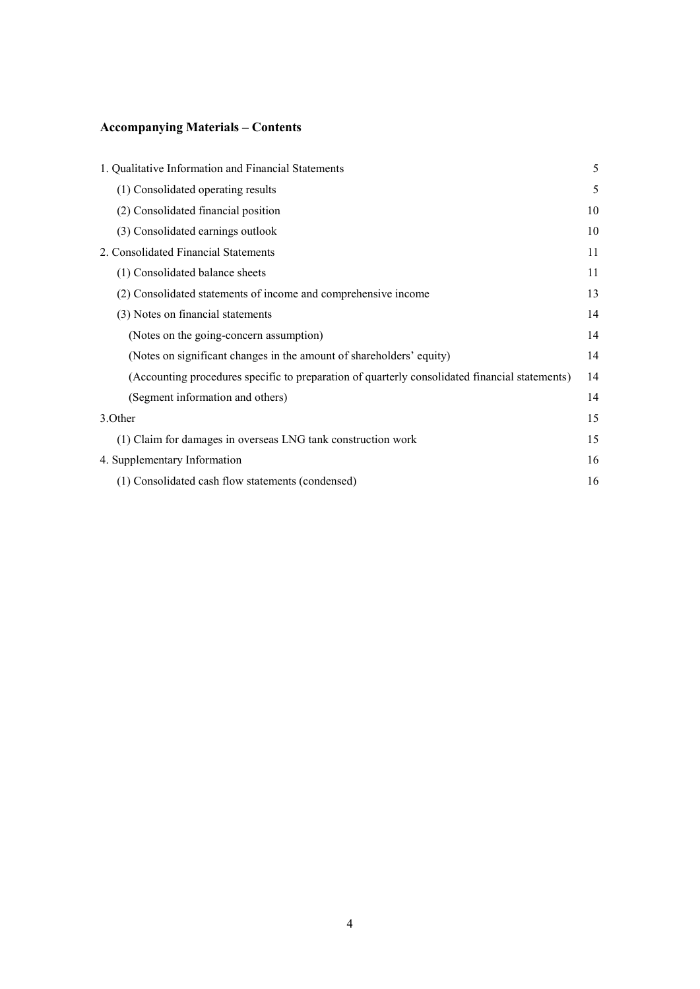# **Accompanying Materials – Contents**

| 1. Qualitative Information and Financial Statements                                            | 5  |
|------------------------------------------------------------------------------------------------|----|
| (1) Consolidated operating results                                                             | 5  |
| (2) Consolidated financial position                                                            | 10 |
| (3) Consolidated earnings outlook                                                              | 10 |
| 2. Consolidated Financial Statements                                                           | 11 |
| (1) Consolidated balance sheets                                                                | 11 |
| (2) Consolidated statements of income and comprehensive income                                 | 13 |
| (3) Notes on financial statements                                                              | 14 |
| (Notes on the going-concern assumption)                                                        | 14 |
| (Notes on significant changes in the amount of shareholders' equity)                           | 14 |
| (Accounting procedures specific to preparation of quarterly consolidated financial statements) | 14 |
| (Segment information and others)                                                               | 14 |
| 3. Other                                                                                       | 15 |
| (1) Claim for damages in overseas LNG tank construction work                                   | 15 |
| 4. Supplementary Information                                                                   | 16 |
| (1) Consolidated cash flow statements (condensed)                                              | 16 |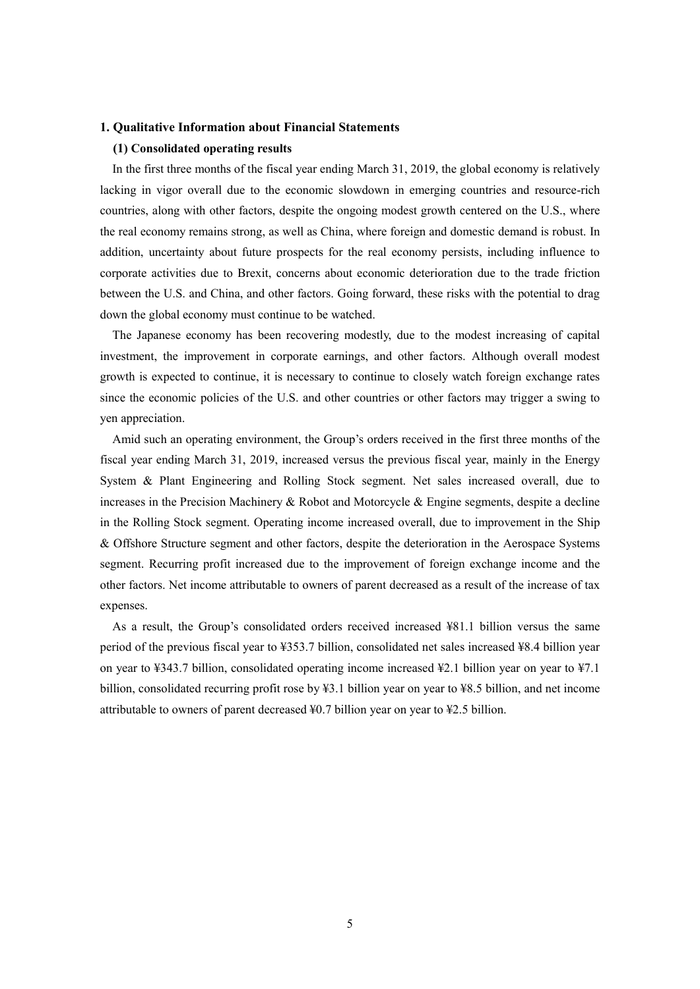### **1. Qualitative Information about Financial Statements**

## **(1) Consolidated operating results**

In the first three months of the fiscal year ending March 31, 2019, the global economy is relatively lacking in vigor overall due to the economic slowdown in emerging countries and resource-rich countries, along with other factors, despite the ongoing modest growth centered on the U.S., where the real economy remains strong, as well as China, where foreign and domestic demand is robust. In addition, uncertainty about future prospects for the real economy persists, including influence to corporate activities due to Brexit, concerns about economic deterioration due to the trade friction between the U.S. and China, and other factors. Going forward, these risks with the potential to drag down the global economy must continue to be watched.

The Japanese economy has been recovering modestly, due to the modest increasing of capital investment, the improvement in corporate earnings, and other factors. Although overall modest growth is expected to continue, it is necessary to continue to closely watch foreign exchange rates since the economic policies of the U.S. and other countries or other factors may trigger a swing to yen appreciation.

Amid such an operating environment, the Group's orders received in the first three months of the fiscal year ending March 31, 2019, increased versus the previous fiscal year, mainly in the Energy System & Plant Engineering and Rolling Stock segment. Net sales increased overall, due to increases in the Precision Machinery & Robot and Motorcycle & Engine segments, despite a decline in the Rolling Stock segment. Operating income increased overall, due to improvement in the Ship & Offshore Structure segment and other factors, despite the deterioration in the Aerospace Systems segment. Recurring profit increased due to the improvement of foreign exchange income and the other factors. Net income attributable to owners of parent decreased as a result of the increase of tax expenses.

As a result, the Group's consolidated orders received increased ¥81.1 billion versus the same period of the previous fiscal year to ¥353.7 billion, consolidated net sales increased ¥8.4 billion year on year to ¥343.7 billion, consolidated operating income increased ¥2.1 billion year on year to ¥7.1 billion, consolidated recurring profit rose by ¥3.1 billion year on year to ¥8.5 billion, and net income attributable to owners of parent decreased ¥0.7 billion year on year to ¥2.5 billion.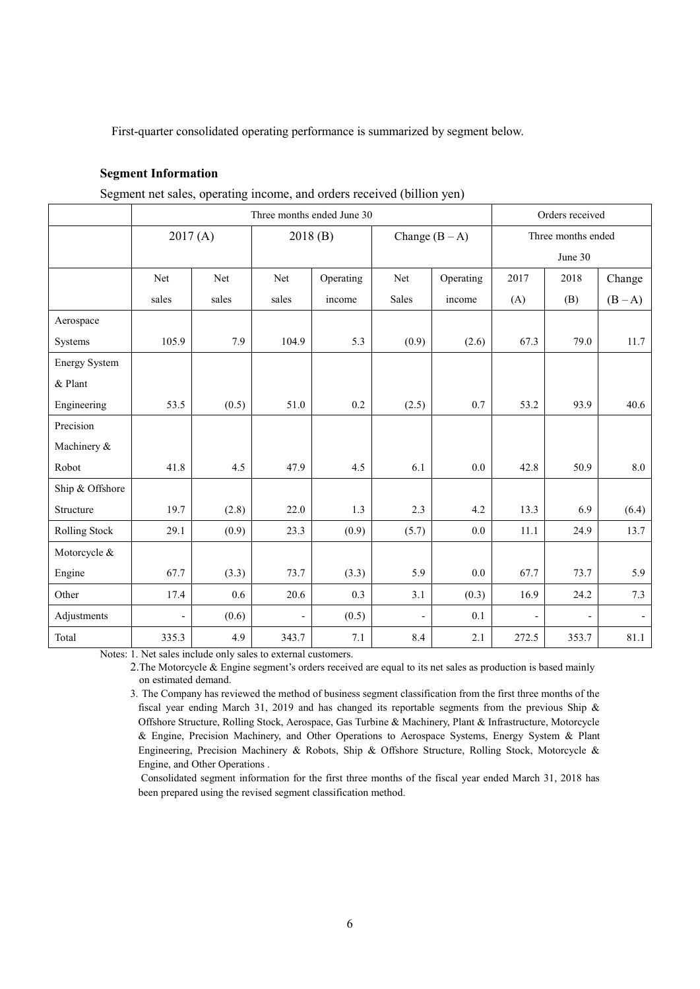First-quarter consolidated operating performance is summarized by segment below.

## **Segment Information**

|  | Segment net sales, operating income, and orders received (billion yen) |  |
|--|------------------------------------------------------------------------|--|
|  |                                                                        |  |

|                      | Three months ended June 30 |       |                          |           |                          |                  | Orders received          |                    |         |  |
|----------------------|----------------------------|-------|--------------------------|-----------|--------------------------|------------------|--------------------------|--------------------|---------|--|
|                      | 2017(A)                    |       |                          | 2018(B)   |                          | Change $(B - A)$ |                          | Three months ended |         |  |
|                      |                            |       |                          |           |                          |                  |                          | June 30            |         |  |
|                      | Net                        | Net   | Net                      | Operating | Net                      | Operating        | 2017                     | 2018               | Change  |  |
|                      | sales                      | sales | sales                    | income    | Sales                    | income           | (A)                      | (B)                | $(B-A)$ |  |
| Aerospace            |                            |       |                          |           |                          |                  |                          |                    |         |  |
| Systems              | 105.9                      | 7.9   | 104.9                    | 5.3       | (0.9)                    | (2.6)            | 67.3                     | 79.0               | 11.7    |  |
| <b>Energy System</b> |                            |       |                          |           |                          |                  |                          |                    |         |  |
| & Plant              |                            |       |                          |           |                          |                  |                          |                    |         |  |
| Engineering          | 53.5                       | (0.5) | 51.0                     | 0.2       | (2.5)                    | 0.7              | 53.2                     | 93.9               | 40.6    |  |
| Precision            |                            |       |                          |           |                          |                  |                          |                    |         |  |
| Machinery &          |                            |       |                          |           |                          |                  |                          |                    |         |  |
| Robot                | 41.8                       | 4.5   | 47.9                     | 4.5       | 6.1                      | $0.0\,$          | 42.8                     | 50.9               | $8.0\,$ |  |
| Ship & Offshore      |                            |       |                          |           |                          |                  |                          |                    |         |  |
| Structure            | 19.7                       | (2.8) | 22.0                     | 1.3       | 2.3                      | 4.2              | 13.3                     | 6.9                | (6.4)   |  |
| Rolling Stock        | 29.1                       | (0.9) | 23.3                     | (0.9)     | (5.7)                    | 0.0              | 11.1                     | 24.9               | 13.7    |  |
| Motorcycle &         |                            |       |                          |           |                          |                  |                          |                    |         |  |
| Engine               | 67.7                       | (3.3) | 73.7                     | (3.3)     | 5.9                      | $0.0\,$          | 67.7                     | 73.7               | 5.9     |  |
| Other                | 17.4                       | 0.6   | 20.6                     | 0.3       | 3.1                      | (0.3)            | 16.9                     | 24.2               | 7.3     |  |
| Adjustments          | $\frac{1}{2}$              | (0.6) | $\overline{\phantom{0}}$ | (0.5)     | $\overline{\phantom{0}}$ | 0.1              | $\overline{\phantom{a}}$ |                    | $\sim$  |  |
| Total                | 335.3                      | 4.9   | 343.7                    | 7.1       | 8.4                      | 2.1              | 272.5                    | 353.7              | 81.1    |  |

Notes: 1. Net sales include only sales to external customers.

2.The Motorcycle & Engine segment's orders received are equal to its net sales as production is based mainly on estimated demand.

3. The Company has reviewed the method of business segment classification from the first three months of the fiscal year ending March 31, 2019 and has changed its reportable segments from the previous Ship & Offshore Structure, Rolling Stock, Aerospace, Gas Turbine & Machinery, Plant & Infrastructure, Motorcycle & Engine, Precision Machinery, and Other Operations to Aerospace Systems, Energy System & Plant Engineering, Precision Machinery & Robots, Ship & Offshore Structure, Rolling Stock, Motorcycle & Engine, and Other Operations .

 Consolidated segment information for the first three months of the fiscal year ended March 31, 2018 has been prepared using the revised segment classification method.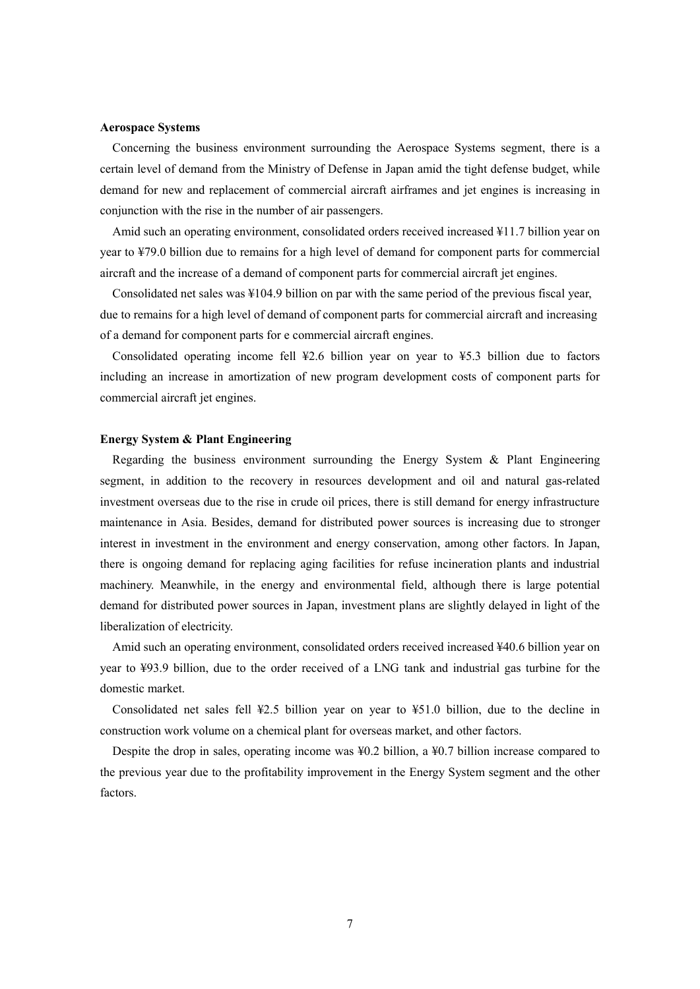#### **Aerospace Systems**

Concerning the business environment surrounding the Aerospace Systems segment, there is a certain level of demand from the Ministry of Defense in Japan amid the tight defense budget, while demand for new and replacement of commercial aircraft airframes and jet engines is increasing in conjunction with the rise in the number of air passengers.

Amid such an operating environment, consolidated orders received increased ¥11.7 billion year on year to ¥79.0 billion due to remains for a high level of demand for component parts for commercial aircraft and the increase of a demand of component parts for commercial aircraft jet engines.

Consolidated net sales was ¥104.9 billion on par with the same period of the previous fiscal year, due to remains for a high level of demand of component parts for commercial aircraft and increasing of a demand for component parts for e commercial aircraft engines.

Consolidated operating income fell ¥2.6 billion year on year to ¥5.3 billion due to factors including an increase in amortization of new program development costs of component parts for commercial aircraft jet engines.

## **Energy System & Plant Engineering**

Regarding the business environment surrounding the Energy System & Plant Engineering segment, in addition to the recovery in resources development and oil and natural gas-related investment overseas due to the rise in crude oil prices, there is still demand for energy infrastructure maintenance in Asia. Besides, demand for distributed power sources is increasing due to stronger interest in investment in the environment and energy conservation, among other factors. In Japan, there is ongoing demand for replacing aging facilities for refuse incineration plants and industrial machinery. Meanwhile, in the energy and environmental field, although there is large potential demand for distributed power sources in Japan, investment plans are slightly delayed in light of the liberalization of electricity.

Amid such an operating environment, consolidated orders received increased ¥40.6 billion year on year to ¥93.9 billion, due to the order received of a LNG tank and industrial gas turbine for the domestic market.

Consolidated net sales fell ¥2.5 billion year on year to ¥51.0 billion, due to the decline in construction work volume on a chemical plant for overseas market, and other factors.

Despite the drop in sales, operating income was ¥0.2 billion, a ¥0.7 billion increase compared to the previous year due to the profitability improvement in the Energy System segment and the other factors.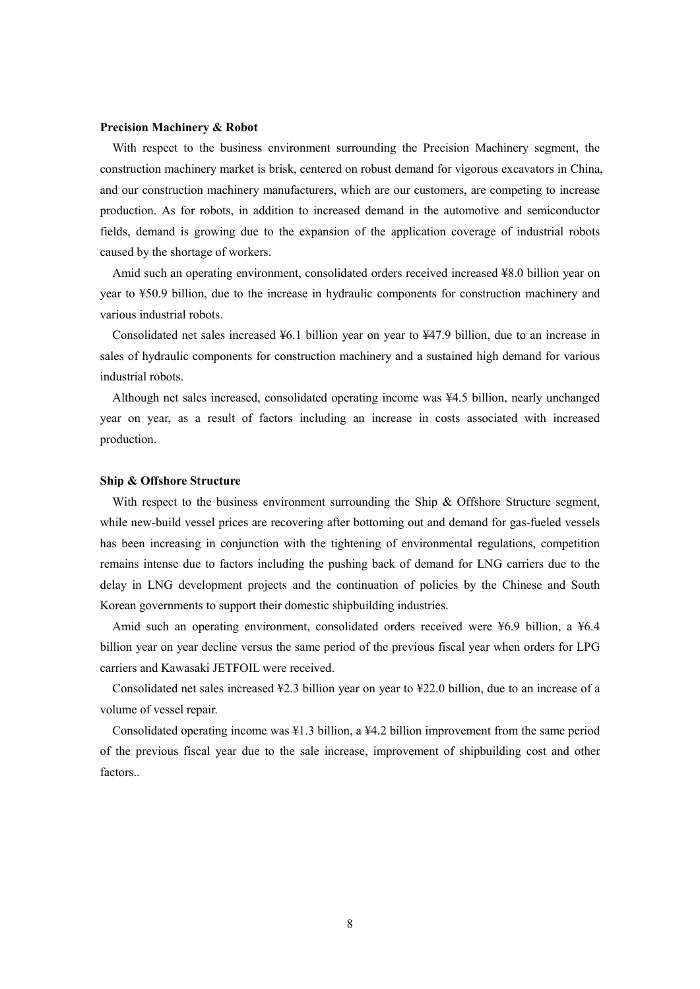### **Precision Machinery & Robot**

With respect to the business environment surrounding the Precision Machinery segment, the construction machinery market is brisk, centered on robust demand for vigorous excavators in China, and our construction machinery manufacturers, which are our customers, are competing to increase production. As for robots, in addition to increased demand in the automotive and semiconductor fields, demand is growing due to the expansion of the application coverage of industrial robots caused by the shortage of workers.

Amid such an operating environment, consolidated orders received increased ¥8.0 billion year on year to ¥50.9 billion, due to the increase in hydraulic components for construction machinery and various industrial robots.

Consolidated net sales increased ¥6.1 billion year on year to ¥47.9 billion, due to an increase in sales of hydraulic components for construction machinery and a sustained high demand for various industrial robots.

Although net sales increased, consolidated operating income was ¥4.5 billion, nearly unchanged year on year, as a result of factors including an increase in costs associated with increased production.

## **Ship & Offshore Structure**

With respect to the business environment surrounding the Ship & Offshore Structure segment, while new-build vessel prices are recovering after bottoming out and demand for gas-fueled vessels has been increasing in conjunction with the tightening of environmental regulations, competition remains intense due to factors including the pushing back of demand for LNG carriers due to the delay in LNG development projects and the continuation of policies by the Chinese and South Korean governments to support their domestic shipbuilding industries.

Amid such an operating environment, consolidated orders received were ¥6.9 billion, a ¥6.4 billion year on year decline versus the same period of the previous fiscal year when orders for LPG carriers and Kawasaki JETFOIL were received.

Consolidated net sales increased ¥2.3 billion year on year to ¥22.0 billion, due to an increase of a volume of vessel repair.

Consolidated operating income was ¥1.3 billion, a ¥4.2 billion improvement from the same period of the previous fiscal year due to the sale increase, improvement of shipbuilding cost and other **factors**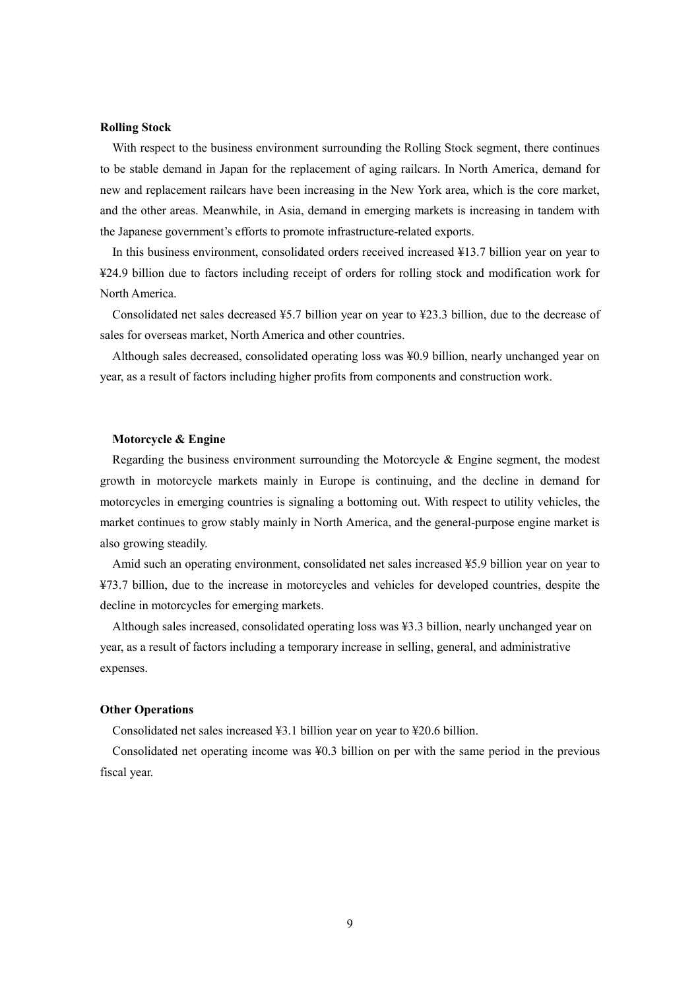### **Rolling Stock**

With respect to the business environment surrounding the Rolling Stock segment, there continues to be stable demand in Japan for the replacement of aging railcars. In North America, demand for new and replacement railcars have been increasing in the New York area, which is the core market, and the other areas. Meanwhile, in Asia, demand in emerging markets is increasing in tandem with the Japanese government's efforts to promote infrastructure-related exports.

In this business environment, consolidated orders received increased ¥13.7 billion year on year to ¥24.9 billion due to factors including receipt of orders for rolling stock and modification work for North America.

Consolidated net sales decreased ¥5.7 billion year on year to ¥23.3 billion, due to the decrease of sales for overseas market, North America and other countries.

Although sales decreased, consolidated operating loss was ¥0.9 billion, nearly unchanged year on year, as a result of factors including higher profits from components and construction work.

## **Motorcycle & Engine**

Regarding the business environment surrounding the Motorcycle  $\&$  Engine segment, the modest growth in motorcycle markets mainly in Europe is continuing, and the decline in demand for motorcycles in emerging countries is signaling a bottoming out. With respect to utility vehicles, the market continues to grow stably mainly in North America, and the general-purpose engine market is also growing steadily.

Amid such an operating environment, consolidated net sales increased ¥5.9 billion year on year to ¥73.7 billion, due to the increase in motorcycles and vehicles for developed countries, despite the decline in motorcycles for emerging markets.

Although sales increased, consolidated operating loss was ¥3.3 billion, nearly unchanged year on year, as a result of factors including a temporary increase in selling, general, and administrative expenses.

#### **Other Operations**

Consolidated net sales increased ¥3.1 billion year on year to ¥20.6 billion.

Consolidated net operating income was ¥0.3 billion on per with the same period in the previous fiscal year.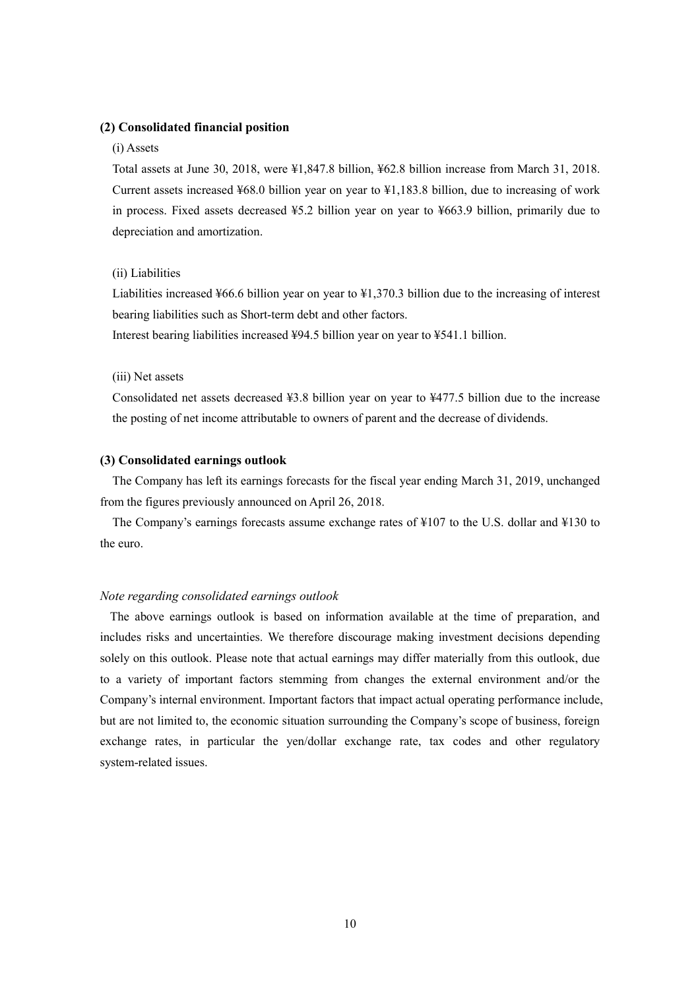## **(2) Consolidated financial position**

## (i) Assets

Total assets at June 30, 2018, were ¥1,847.8 billion, ¥62.8 billion increase from March 31, 2018. Current assets increased ¥68.0 billion year on year to ¥1,183.8 billion, due to increasing of work in process. Fixed assets decreased ¥5.2 billion year on year to ¥663.9 billion, primarily due to depreciation and amortization.

#### (ii) Liabilities

Liabilities increased ¥66.6 billion year on year to ¥1,370.3 billion due to the increasing of interest bearing liabilities such as Short-term debt and other factors.

Interest bearing liabilities increased ¥94.5 billion year on year to ¥541.1 billion.

## (iii) Net assets

Consolidated net assets decreased ¥3.8 billion year on year to ¥477.5 billion due to the increase the posting of net income attributable to owners of parent and the decrease of dividends.

## **(3) Consolidated earnings outlook**

The Company has left its earnings forecasts for the fiscal year ending March 31, 2019, unchanged from the figures previously announced on April 26, 2018.

The Company's earnings forecasts assume exchange rates of ¥107 to the U.S. dollar and ¥130 to the euro.

## *Note regarding consolidated earnings outlook*

The above earnings outlook is based on information available at the time of preparation, and includes risks and uncertainties. We therefore discourage making investment decisions depending solely on this outlook. Please note that actual earnings may differ materially from this outlook, due to a variety of important factors stemming from changes the external environment and/or the Company's internal environment. Important factors that impact actual operating performance include, but are not limited to, the economic situation surrounding the Company's scope of business, foreign exchange rates, in particular the yen/dollar exchange rate, tax codes and other regulatory system-related issues.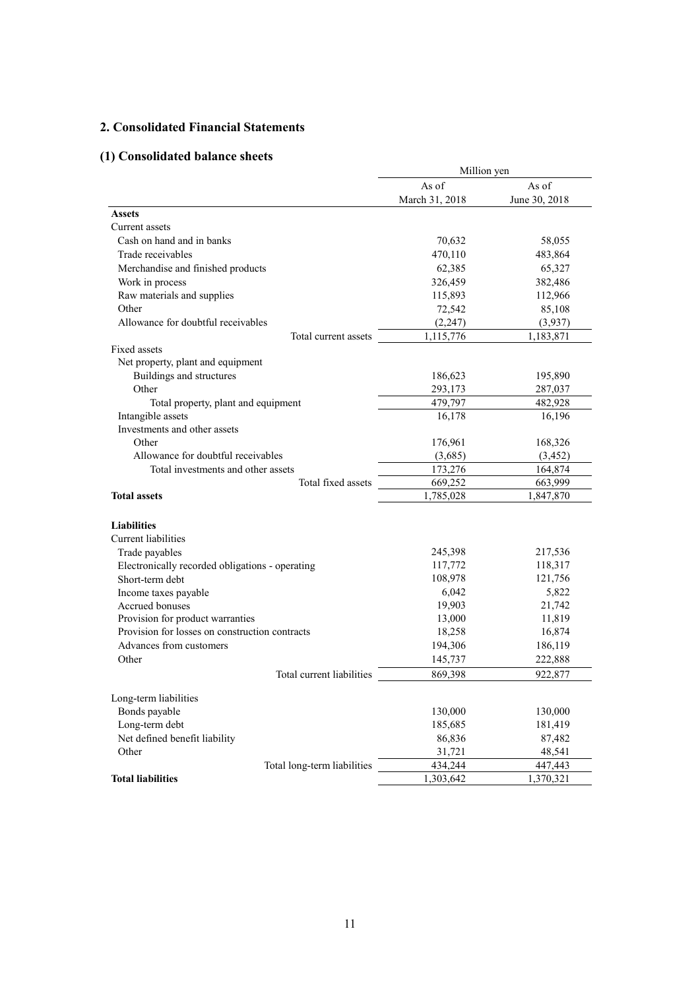## **2. Consolidated Financial Statements**

# **(1) Consolidated balance sheets**

|                                                 | Million yen    |               |  |
|-------------------------------------------------|----------------|---------------|--|
|                                                 | As of          | As of         |  |
|                                                 | March 31, 2018 | June 30, 2018 |  |
| <b>Assets</b>                                   |                |               |  |
| Current assets                                  |                |               |  |
| Cash on hand and in banks                       | 70,632         | 58,055        |  |
| Trade receivables                               | 470,110        | 483,864       |  |
| Merchandise and finished products               | 62,385         | 65,327        |  |
| Work in process                                 | 326,459        | 382,486       |  |
| Raw materials and supplies                      | 115,893        | 112,966       |  |
| Other                                           | 72,542         | 85,108        |  |
| Allowance for doubtful receivables              | (2, 247)       | (3,937)       |  |
| Total current assets                            | 1,115,776      | 1,183,871     |  |
| Fixed assets                                    |                |               |  |
| Net property, plant and equipment               |                |               |  |
| Buildings and structures                        | 186,623        | 195,890       |  |
| Other                                           | 293,173        | 287,037       |  |
| Total property, plant and equipment             | 479,797        | 482,928       |  |
| Intangible assets                               | 16,178         | 16,196        |  |
| Investments and other assets                    |                |               |  |
| Other                                           | 176,961        | 168,326       |  |
| Allowance for doubtful receivables              | (3,685)        | (3, 452)      |  |
| Total investments and other assets              | 173,276        | 164,874       |  |
| Total fixed assets                              | 669,252        | 663,999       |  |
| <b>Total assets</b>                             | 1,785,028      | 1,847,870     |  |
|                                                 |                |               |  |
| <b>Liabilities</b>                              |                |               |  |
| Current liabilities                             |                |               |  |
| Trade payables                                  | 245,398        | 217,536       |  |
| Electronically recorded obligations - operating | 117,772        | 118,317       |  |
| Short-term debt                                 | 108,978        | 121,756       |  |
| Income taxes payable                            | 6,042          | 5,822         |  |
| Accrued bonuses                                 | 19,903         | 21,742        |  |
| Provision for product warranties                | 13,000         | 11,819        |  |
| Provision for losses on construction contracts  | 18,258         | 16,874        |  |
| Advances from customers                         | 194,306        | 186,119       |  |
| Other                                           | 145,737        | 222,888       |  |
| Total current liabilities                       | 869,398        | 922,877       |  |
| Long-term liabilities                           |                |               |  |
| Bonds payable                                   | 130,000        | 130,000       |  |
| Long-term debt                                  | 185,685        | 181,419       |  |
| Net defined benefit liability                   | 86,836         | 87,482        |  |
| Other                                           | 31,721         | 48,541        |  |
| Total long-term liabilities                     | 434,244        | 447,443       |  |
| <b>Total liabilities</b>                        | 1,303,642      | 1,370,321     |  |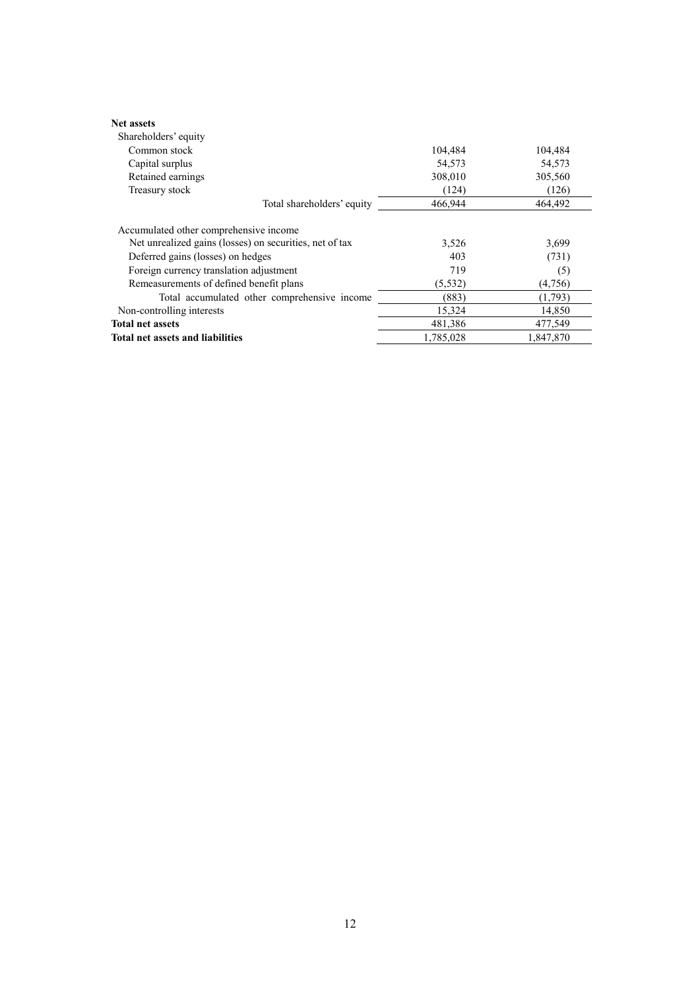| <b>Net assets</b><br>Shareholders' equity               |           |           |
|---------------------------------------------------------|-----------|-----------|
| Common stock                                            | 104,484   | 104,484   |
| Capital surplus                                         | 54,573    | 54,573    |
| Retained earnings                                       | 308,010   | 305,560   |
| Treasury stock                                          | (124)     | (126)     |
| Total shareholders' equity                              | 466,944   | 464.492   |
| Accumulated other comprehensive income                  |           |           |
| Net unrealized gains (losses) on securities, net of tax | 3,526     | 3,699     |
| Deferred gains (losses) on hedges                       | 403       | (731)     |
| Foreign currency translation adjustment                 | 719       | (5)       |
| Remeasurements of defined benefit plans                 | (5, 532)  | (4,756)   |
| Total accumulated other comprehensive income            | (883)     | (1,793)   |
| Non-controlling interests                               | 15,324    | 14,850    |
| <b>Total net assets</b>                                 | 481,386   | 477,549   |
| <b>Total net assets and liabilities</b>                 | 1,785,028 | 1,847,870 |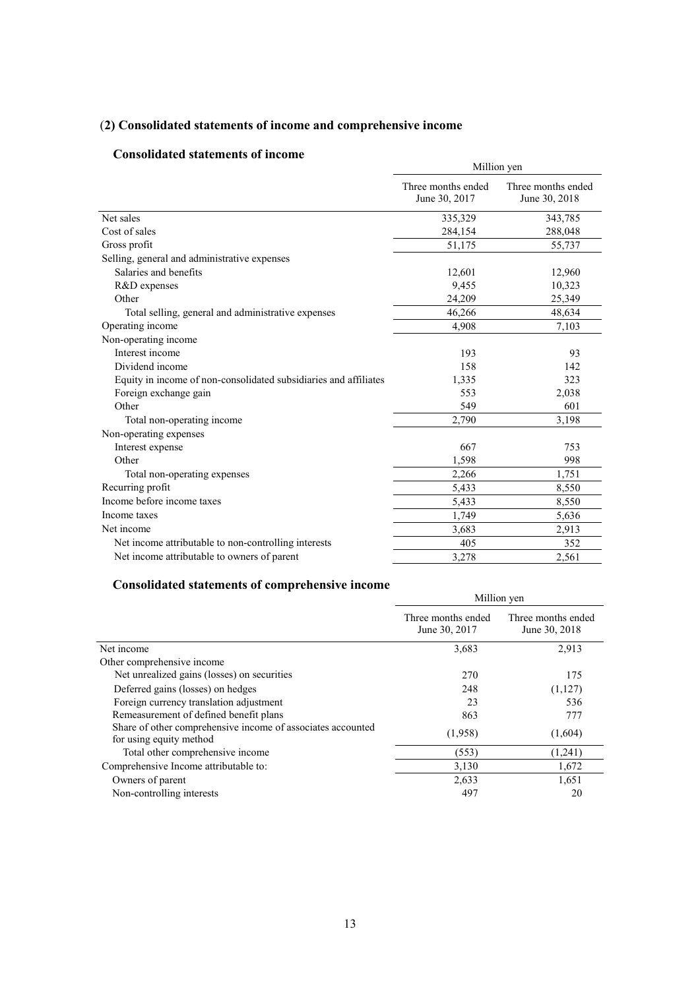# (**2) Consolidated statements of income and comprehensive income**

## **Consolidated statements of income**

| Consonuateu statements of meome                                  | Million yen                         |                                     |  |  |
|------------------------------------------------------------------|-------------------------------------|-------------------------------------|--|--|
|                                                                  | Three months ended<br>June 30, 2017 | Three months ended<br>June 30, 2018 |  |  |
| Net sales                                                        | 335,329                             | 343,785                             |  |  |
| Cost of sales                                                    | 284,154                             | 288,048                             |  |  |
| Gross profit                                                     | 51,175                              | 55,737                              |  |  |
| Selling, general and administrative expenses                     |                                     |                                     |  |  |
| Salaries and benefits                                            | 12,601                              | 12,960                              |  |  |
| R&D expenses                                                     | 9,455                               | 10,323                              |  |  |
| Other                                                            | 24,209                              | 25,349                              |  |  |
| Total selling, general and administrative expenses               | 46,266                              | 48,634                              |  |  |
| Operating income                                                 | 4,908                               | 7,103                               |  |  |
| Non-operating income                                             |                                     |                                     |  |  |
| Interest income                                                  | 193                                 | 93                                  |  |  |
| Dividend income                                                  | 158                                 | 142                                 |  |  |
| Equity in income of non-consolidated subsidiaries and affiliates | 1,335                               | 323                                 |  |  |
| Foreign exchange gain                                            | 553                                 | 2,038                               |  |  |
| Other                                                            | 549                                 | 601                                 |  |  |
| Total non-operating income                                       | 2,790                               | 3,198                               |  |  |
| Non-operating expenses                                           |                                     |                                     |  |  |
| Interest expense                                                 | 667                                 | 753                                 |  |  |
| Other                                                            | 1,598                               | 998                                 |  |  |
| Total non-operating expenses                                     | 2,266                               | 1,751                               |  |  |
| Recurring profit                                                 | 5,433                               | 8,550                               |  |  |
| Income before income taxes                                       | 5,433                               | 8,550                               |  |  |
| Income taxes                                                     | 1,749                               | 5,636                               |  |  |
| Net income                                                       | 3,683                               | 2,913                               |  |  |
| Net income attributable to non-controlling interests             | 405                                 | 352                                 |  |  |
| Net income attributable to owners of parent                      | 3,278                               | 2,561                               |  |  |
|                                                                  |                                     |                                     |  |  |

## **Consolidated statements of comprehensive income**

| сопрончится выплитер от сошргенены с пісопіс                                           | Million yen                         |                                     |  |
|----------------------------------------------------------------------------------------|-------------------------------------|-------------------------------------|--|
|                                                                                        | Three months ended<br>June 30, 2017 | Three months ended<br>June 30, 2018 |  |
| Net income                                                                             | 3,683                               | 2,913                               |  |
| Other comprehensive income                                                             |                                     |                                     |  |
| Net unrealized gains (losses) on securities                                            | 270                                 | 175                                 |  |
| Deferred gains (losses) on hedges                                                      | 248                                 | (1,127)                             |  |
| Foreign currency translation adjustment                                                | 23                                  | 536                                 |  |
| Remeasurement of defined benefit plans                                                 | 863                                 | 777                                 |  |
| Share of other comprehensive income of associates accounted<br>for using equity method | (1,958)                             | (1,604)                             |  |
| Total other comprehensive income                                                       | (553)                               | (1,241)                             |  |
| Comprehensive Income attributable to:                                                  | 3,130                               | 1,672                               |  |
| Owners of parent                                                                       | 2,633                               | 1,651                               |  |
| Non-controlling interests                                                              | 497                                 | 20                                  |  |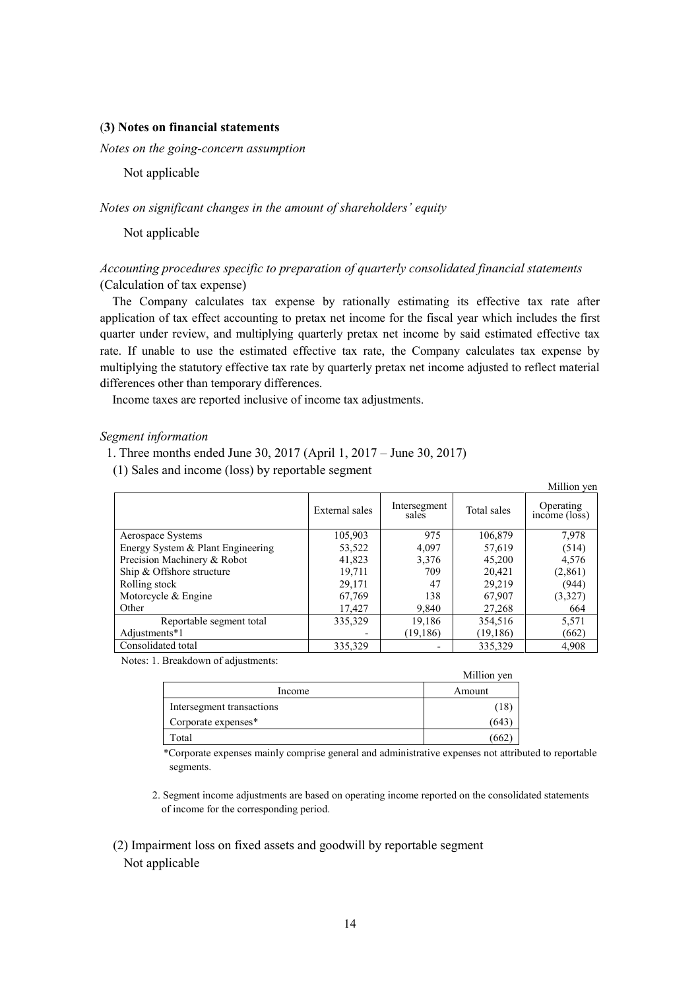## (**3) Notes on financial statements**

*Notes on the going-concern assumption* 

Not applicable

## *Notes on significant changes in the amount of shareholders' equity*

Not applicable

## *Accounting procedures specific to preparation of quarterly consolidated financial statements* (Calculation of tax expense)

The Company calculates tax expense by rationally estimating its effective tax rate after application of tax effect accounting to pretax net income for the fiscal year which includes the first quarter under review, and multiplying quarterly pretax net income by said estimated effective tax rate. If unable to use the estimated effective tax rate, the Company calculates tax expense by multiplying the statutory effective tax rate by quarterly pretax net income adjusted to reflect material differences other than temporary differences.

Income taxes are reported inclusive of income tax adjustments.

## *Segment information*

1. Three months ended June 30, 2017 (April 1, 2017 – June 30, 2017)

(1) Sales and income (loss) by reportable segment

|                                   |                |                          |             | Million yen                |
|-----------------------------------|----------------|--------------------------|-------------|----------------------------|
|                                   | External sales | Intersegment<br>sales    | Total sales | Operating<br>income (loss) |
| Aerospace Systems                 | 105,903        | 975                      | 106,879     | 7,978                      |
| Energy System & Plant Engineering | 53,522         | 4,097                    | 57,619      | (514)                      |
| Precision Machinery & Robot       | 41,823         | 3,376                    | 45.200      | 4,576                      |
| Ship & Offshore structure         | 19,711         | 709                      | 20,421      | (2,861)                    |
| Rolling stock                     | 29.171         | 47                       | 29.219      | (944)                      |
| Motorcycle $&$ Engine             | 67,769         | 138                      | 67,907      | (3,327)                    |
| Other                             | 17,427         | 9,840                    | 27,268      | 664                        |
| Reportable segment total          | 335,329        | 19,186                   | 354,516     | 5,571                      |
| Adjustments*1                     |                | (19, 186)                | (19, 186)   | (662)                      |
| Consolidated total                | 335,329        | $\overline{\phantom{a}}$ | 335,329     | 4,908                      |

Notes: 1. Breakdown of adjustments:

|                           | Million yen |
|---------------------------|-------------|
| Income                    | Amount      |
| Intersegment transactions | (18         |
| Corporate expenses*       | (643        |
| Total                     | 66.         |

\*Corporate expenses mainly comprise general and administrative expenses not attributed to reportable segments.

- 2. Segment income adjustments are based on operating income reported on the consolidated statements of income for the corresponding period.
- (2) Impairment loss on fixed assets and goodwill by reportable segment Not applicable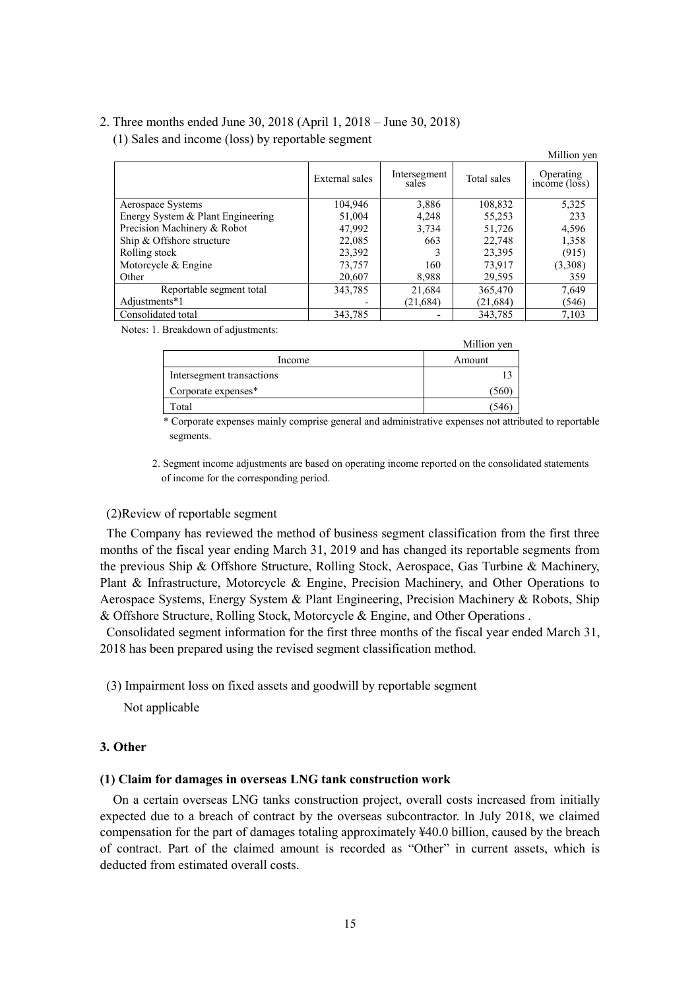## 2. Three months ended June 30, 2018 (April 1, 2018 – June 30, 2018)

(1) Sales and income (loss) by reportable segment

|                                   |                |                          |             | Million yen                |
|-----------------------------------|----------------|--------------------------|-------------|----------------------------|
|                                   | External sales | Intersegment<br>sales    | Total sales | Operating<br>income (loss) |
| Aerospace Systems                 | 104,946        | 3,886                    | 108,832     | 5,325                      |
| Energy System & Plant Engineering | 51,004         | 4,248                    | 55,253      | 233                        |
| Precision Machinery & Robot       | 47,992         | 3,734                    | 51,726      | 4,596                      |
| Ship & Offshore structure         | 22,085         | 663                      | 22,748      | 1,358                      |
| Rolling stock                     | 23,392         | 3                        | 23,395      | (915)                      |
| Motorcycle & Engine               | 73,757         | 160                      | 73,917      | (3,308)                    |
| Other                             | 20,607         | 8.988                    | 29,595      | 359                        |
| Reportable segment total          | 343,785        | 21,684                   | 365,470     | 7,649                      |
| Adjustments*1                     |                | (21, 684)                | (21, 684)   | (546)                      |
| Consolidated total                | 343,785        | $\overline{\phantom{0}}$ | 343,785     | 7,103                      |

Notes: 1. Breakdown of adjustments:

|                           | Million yen |
|---------------------------|-------------|
| Income                    | Amount      |
| Intersegment transactions |             |
| Corporate expenses*       | 1560        |
| Total                     | 54          |

\* Corporate expenses mainly comprise general and administrative expenses not attributed to reportable segments.

2. Segment income adjustments are based on operating income reported on the consolidated statements of income for the corresponding period.

## (2)Review of reportable segment

The Company has reviewed the method of business segment classification from the first three months of the fiscal year ending March 31, 2019 and has changed its reportable segments from the previous Ship & Offshore Structure, Rolling Stock, Aerospace, Gas Turbine & Machinery, Plant & Infrastructure, Motorcycle & Engine, Precision Machinery, and Other Operations to Aerospace Systems, Energy System & Plant Engineering, Precision Machinery & Robots, Ship & Offshore Structure, Rolling Stock, Motorcycle & Engine, and Other Operations .

Consolidated segment information for the first three months of the fiscal year ended March 31, 2018 has been prepared using the revised segment classification method.

(3) Impairment loss on fixed assets and goodwill by reportable segment

Not applicable

### **3. Other**

## **(1) Claim for damages in overseas LNG tank construction work**

On a certain overseas LNG tanks construction project, overall costs increased from initially expected due to a breach of contract by the overseas subcontractor. In July 2018, we claimed compensation for the part of damages totaling approximately ¥40.0 billion, caused by the breach of contract. Part of the claimed amount is recorded as "Other" in current assets, which is deducted from estimated overall costs.